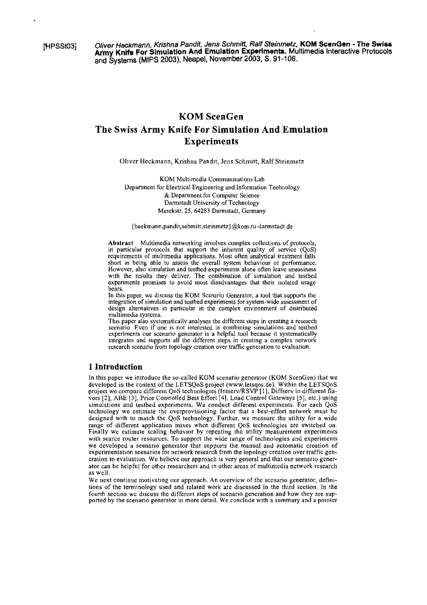Oliver Heckmann, Krishna Pandit, Jens Schmitt, Ralf Steinmetz, KOM ScenGen - The Swiss Army Knife For Simulation And Emulation Experiments. Multimedia Interactive Protocols and Systems (MIPS 2003), Neapel, November 2003, S. 91-106.

# **KOM ScenGen** The Swiss Army Knife For Simulation And Emulation **Experiments**

Oliver Heckmann, Krishna Pandit, Jens Schmitt, Ralf Steinmetz

KOM Multimedia Communications Lab Department for Electrical Engineering and Information Technology & Department for Computer Seienee Darmstadt University of Teehnology Merekstr. 25, 64283 Darmstadt, Germany

{heekmann,pandit,sehmitt,steinmetz}@kom.tu-darmstadt.de

Abstract Multimedia networking involves complex collections of protocols, in particular protocols that support the inherent quality of service (QoS) requirements of multimedia applications. Most often analytical treatment falls short in being able to assess the overall system behaviour or performance. However, also simulation and testbed experiments alone often leave uneasiness with the results they deliver. The combination of simulation and testbed experiments promises to avoid most disadvantages that their isolated usage bears.

In this paper, we discuss the KOM Scenario Generator, a tool that supports the integration of simulation and testbed experiments for system-wide assessment of design alternatives in particular in the complex environment of distributed multimedia systems.

This paper also systematically analyses the different steps in ereating a research seenario. Even if one is not interested in combining simulations and testbed<br>experiments our scenario generator is a helpful tool because it systematically integrates and supports all the different steps in creating a complex network research scenario from topology creation over traffic generation to evaluation.

# 1 Introduction

In this paper we introduce the so-called KOM scenario generator (KOM ScenGen) that we developed in the context of the LETSQoS project (www.letsqos.de). Within the LETSQoS project we compare different QoS technologies (Intserv/RSVP [1], Diffserv in different flavors [2], ABE [3], Price Controlled Best Effort [4], Load Control Gateways [5], etc.) using simulations and testbed experiments. We conduct different experiments. For each QoS technology we estimate the overprovisioning factor that a best-effort network must be designed with to match the QoS technology. Further, we measure the utility for a wide range of different application mixes when different QoS technologies are switched on. Finally we estimate scaling behavior by repeating the utility measurement experiments with searce router resources. To support the wide range of technologies and experiments we developed a seenario generator that supports the manual and automatic creation of experimentation seenarios for network research from the topology creation over traffic generation to evaluation. We believe our approach is very general and that our seenario generator can be helpful for other researchers and in other areas of multimedia network research as well.

We next continue motivating our approach. An overview of the scenario generator, definitions of the terminology used and related work are discussed in the third section. In the fourth section we discuss the different steps of seenario generation and how they are supported by the scenario generator in more detail. We conclude with a summary and a pointer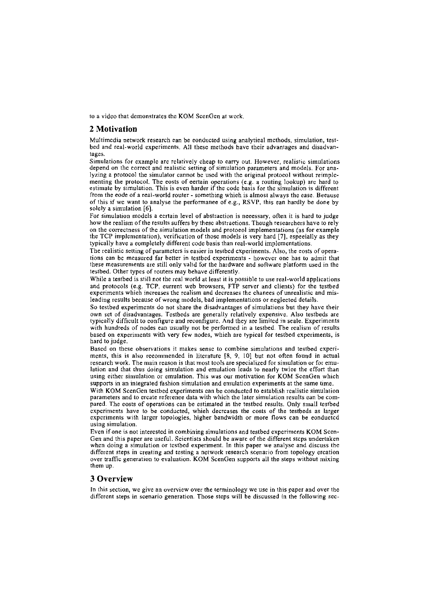to a video that demonstrates the KOM ScenGen at work.

# **2 Motivation**

Multimedia network research ean be eonducted using analytieal methods, simulation, testbed and real-world experiments. All these methods have their advantages and disadvantages.

Simulations for example are relatively cheap to earry out. However, realistic simulations depend on the eorrect and realistic setting of simulation parameters and models. For analyzing a protocol the simulator cannot be used with the original protoeol without reimplementing the protocol. The eosts of eertain operations (e.g. a routing lookup) arc hard to estimate by simulation. This is even harder if the code basis for the simulation is different froni the eode of a real-world router - something whieh is almost always the ease. Beeause of this if we Want to analyse the performanee of e.g., RSVP, this ean hardly be done by solely a simulation *[6].* 

For simulation models a eertain level of abstraction is neeessary, often it is hard to judge how the realism of the results suffers by thesc abstraetions. Though researchers have to rely on the correctness of the simulation models and protoeol implementations (as for example the TCP implementation), verification of those modcls is very hard **[7],** espeeially as they typically have a eompletely different code basis than real-world implementations.

The realistic setting of parameters is easier in testbed experiments. Also, the costs of operations ean be measured far better in testbed experiments - however one has to admit that these measurements are still only valid for the hardware and software platform used in the testbed. Other types of routers may behave differently.

While a testbed is still not the real world at least it is possible to use real-world applications and protocols (e.g. TCP, eurrent web browsers, FTP server and clients) for the testbed experiments whieh increases the realism and decreases the ehanees of unrealistic and misleading results beeause of wrong models, bad implementations or negleeted details.

So testbed experiments do not share the disadvantages of simulations but they have their own set of disadvantages. Testbeds are generally relatively expensive. Also testbeds are typically difficult to eonfigure and reconfigure. And they are limited in seale. Experiments with hundreds of nodes ean usually not be performed in **a** testbed. The realism of results based on experiments with very few nodes, whieh are typical for testbed experiments, is hard to judge.

Based on these observations it makes sense to combine simulations and testbed experiments, this is also recommended in literature [8, 9, 10] but not often found in actual research work. The main reason is that most tools are specialized for simulation or for emulation and that thus doing simulation and emulation leads to nearly twiee the effort than using either simulation or emulation. This was our motivation for KOM ScenGen which supports in an integrated fashion simulation and emulation experimenls at the same time.

With KOM ScenGen testbed experiments ean be conducted to establish realistie simulation parameters and to ercate reference data with which the later simulation results ean be compared. The eosts of operations can be estimated in the testbed results. Only small testbed experiments have to be eonducted, whieh decreases the costs of the testbeds as larger experiments with larger topologies, higher bandwidth or more flows can be eonduetcd using simulation.

Even if one is not interested in combining simulations and testbed experiments KOM Scen-Gen and this paper are useful. Seientists should be awarc of the different stcps undertaken when doing a simulation or testbed experiment. In this paper we analyse and discuss the different steps in creating and testing a network research scenario from topology ercation over traffic generation to evaluation. KOM ScenGen supports all the steps without mixing them up.

# **3 Overview**

In this section, we give an ovewiew over the terminology we use in this paper and over the different steps in scenario generation. Those steps will be discussed in the following sec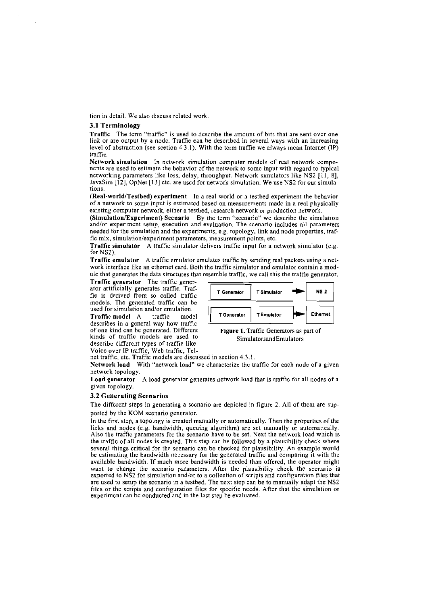tion in detail. We also discuss related work.

## 3.1 Terminology

Traffic The term "traffie" is used to describe the amount of bits that are sent over one link or are output by a node. Traffic can be described in several ways with an increasing level of abstraction (see scetion 4.3.1). With the term traffic we always mean Internet (IP) traffie.

Network simulation In network simulation computer models of real network components are used to estimate the behavior of the network to some input with regard to typical nctworking parameters like loss, delay, throughput. Network simulators like NS2 [11, 8], JavaSim [12], OpNet [13] etc. are used for network simulation. We use NS2 for our simulations.

(Real-world/Testbed) experiment In a real-world or a testbed experiment the behavior of a network to some input is estimated based on measurements made in a real physically existing computer network, either a testbed, research network or production network.

(Simulation/Experiment) Scenario By the term "seenario" we describe the simulation and/or experiment setup, execution and evaluation. The scenario includes all parameters needed for the simulation and the experiments, e.g. topology, link and node properties, traffic mix, simulation/experiment parameters, measurement points, etc.

**Traffic simulator** A traffic simulator delivers traffic input for a network simulator (e.g. for NS2).

**Traffic emulator** A traffic emulator emulates traffic by sending real packets using a network interface like an ethernet card. Both the traffic simulator and emulator contain a module that generates the data structures that resemble traffic, we call this the traffic generator.

Traffic generator The traffic generator artificially generates traffie. Traffie is derived from so called traffic models. The generated traffic can be used for simulation and/or emulation.

model Traffic model A traffic describes in a general way how traffic of one kind can be generated. Different kinds of traffic models are used to describe different types of traffic like: Voice over IP traffic, Web traffic, Tel-



Figure 1. Traffic Generators as part of SimulatorsandEmulators

net traffic, etc. Traffic models are discussed in section 4.3.1.

Network load With "network load" we characterize the traffic for each node of a given network topology.

Load generator A load generator generates network load that is traffic for all nodes of a given topology.

#### **3.2 Generating Scenarios**

The different steps in generating a scenario are depicted in figure 2. All of them are supported by the KOM scenario generator.

In the first step, a topology is created manually or automatically. Then the properties of the links and nodes (e.g. bandwidth, queuing algorithm) are set manually or automatically. Also the traffic parameters for the scenario have to be set. Next the network load which is the traffic of all nodes is created. This step can be followed by a plausibility check where several things critical for the scenario can be checked for plausibility. An example would be estimating the bandwidth necessary for the generated traffic and comparing it with the available bandwidth. If much more bandwidth is needed than offered, the operator might want to change the scenario parameters. After the plausibility check the scenario is exported to NS2 for simulation and/or to a collection of scripts and configuration files that are used to setup the scenario in a testbed. The next step can be to manually adapt the NS2 files or the scripts and configuration files for specific needs. After that the simulation or experiment can be conducted and in the last step be evaluated.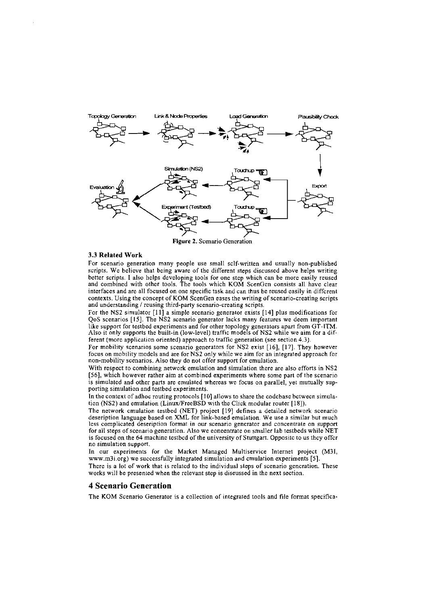

Figure 2. Scenario Generation

## 3.3 Related Work

For scenario generation many people use small sclf-written and usually non-published scripts. We believe that being aware of the different steps discussed above helps writing better scripts. I also helps developing tools for one step which can be more easily reused and combined with other tools. The tools which KOM ScenGen consists all have clear interfaces and are all focused on one specific task and can thus be reused easily in different contexts. Using the concept of KOM ScenGen eases the writing of scenario-creating scripts and understanding / reusing third-party scenario-creating scripts.

For the NS2 simulator [11] a simple seenario generator exists [14] plus modifications for QoS scenarios [15]. The NS2 scenario generator lacks many features we deem important like support for testbed experiments and for other topology generators apart from GT-ITM. Also it only supports the built-in (low-level) traffic models of NS2 while we aim for a different (more application oriented) approach to traffic generation (see section 4.3).

For mobility scenarios some scenario generators for NS2 exist [16], [17]. They however focus on mobility models and are for NS2 only while we aim for an integrated approach for non-mobility scenarios. Also they do not offer support for emulation.

With respect to combining network emulation and simulation there are also efforts in NS2 [56], which however rather aim at combined experiments where some part of the scenario is simulated and other parts are emulated whereas we focus on parallel, yet mutually supporting simulation and testbed experiments.

In the context of adhoc routing protocols [10] allows to share the codebase between simulation (NS2) and emulation (Linux/FreeBSD with the Click modular router [18]).

The network cmulation testbed (NET) project [19] defines a detailed network scenario deseription language based on XML for link-based emulation. We use a similar but much less complicated deseription format in our scenario generator and concentrate on support for all steps of scenario generation. Also we eoneentrate on smaller lab testbeds while NET is focused on the 64 machine testbed of the university of Stuttgart. Opposite to us they offer no simulation support.

In our experiments for the Market Managed Multiservice Internet project (M3I, www.m3i.org) we successfully integrated simulation and emulation experiments [5].

There is a lot of work that is related to the individual steps of scenario generation. These works will be presented when the relevant step is diseussed in the next section.

# **4 Scenario Generation**

The KOM Scenario Generator is a collection of integrated tools and file format specifica-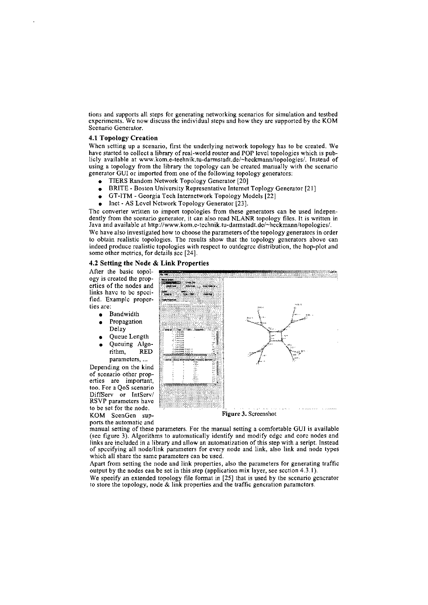tions and supports all steps for generating networking scenarios for simulation and testbed experiments. We now discuss the individual steps and how they are supported by the KOM Scenario Generator.

#### 4.1 Topology Creation

When setting up a scenario, first the underlying network topology has to be created. We have started to collect a library of real-world router and POP level topologies which is publicly available at www.kom.e-teehnik.tu-darmstadt.de/~heckmann/topologies/. Instead of using a topology from the library the topology can be created manually with the scenario generator GUI or imported from one of the following topology generators:

- TIERS Random Network Topology Generator [20]
- BRITE Boston University Representative Intemet Toplogy Generator [21]
- GT-ITM Georgia Tech Internetwork Topology Models [22]
- lnet AS Level Network Topology Generator [23].

The converter written to import topologies from these generators can be used independently from the scenario generator, it can also read NLANR topology files. It is written in Java and available at http://www.kom.e-technik.tu-darmstadt.de/~heckmann/topologies/. We have also investigated how to choose the parameters of the topology generators in order to obtain realistic topologies. The results show that the topology generators above can indeed produce realistic topologies with respect to outdegrcc distribution, the hop-plot and some other mctrics, for details scc [24].

#### 4.2 Setting the Node & Link Properties

After the basic topology is created the properties of the nodes and links havc to bc spccified. Examplc properties are:

- Bandwidth
- Propagation  $\bullet$
- Delay
- Queue Length Queuing Algorithm, RED

parameters, ... Depending on the kind of scenario other properties are important, too. For a QoS scenario DiffServ or IntServ/ RSVP parameters have tobe set for the node. KOM ScenGen sup-<br>
Figure 3. Screenshot

ports the automatic and

manual setting of these parameters. For the manual setting a comfortable GUT is available (see figure 3). Algorithms to automatically identify and modify edgc and eorc nodes and links are included in a library and allow an automatization of this step with a seript. lnstead of spccifying all nodellink parameters for every node and link, also link and node types which all share the same parameters can be used.

Apart from setting the node and link properties, also the parameters for generating traffic output by the nodes ean be set in this step (application mix layer, see scction 4.3.1).

We speeify an extended topology file format in **[25]** that is used by the scenano gencrator to store the topology, node  $\&$  link properties and the traffic generation paramcters.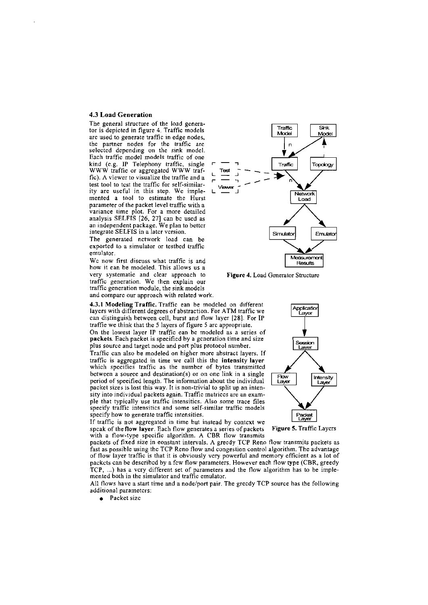#### 4.3 Load Generation

The general stmcture of the load generator is depicled in figure **4.** Traffic models are used to generate traffic in edge nodes,<br>the partner nodes for the traffic are the partner nodes for the traffic are<br>selected depending on the sink model.<br>Each traffic model models traffic of one<br>kind (e.g. IP Telephony traffic, single r - **1**<br>WWW traffic or aggregated WWW traf- Test Each traffic model models traffic of one<br>kind (e.g. IP Telephony traffic, single The given since the figure 4. Traffic models<br>are used to generate traffic in edge nodes,<br>the partner nodes for the traffic are<br>selected depending on the sink model.<br>Each traffic model models traffic of one<br>kind (e.g. IP Te WWW traffie or aggregated WWW traftest tool to test the traffic for self-similar-<br>ity are useful in this step. We implefic). A viewer to visualize the traffie and a mented a tool to estimate the Hurst<br>parameter of the packet level traffic with a variance time plot. For a more detailed analysis SELFIS [26, 27] can bc used as an independent package. We plan to bettcr integrate SELFIS in a later version. **Simulate SELFIS** in a later version.

The generated nctwork load can be exported 10 a simulator or testbed traffic emulator.

how it ean be modeled. This allows us a very systematie and clear approach to Figure 4. Load Generator Structure traffic generation. We then explain our traffic generation module, the sink models and eompare our approach with related work.

4.3.1 Modeling Traffic. Traffic ean be modeled on different layers with different degrees of abstraction. For ATM traffic we can distinguish between cell, burst and flow layer **[28].** For **IP**  traffie we think that the 5 layers of figure **5** arc appropriate. On the lowest layer **IP** traffic ean be modeled as a series of packets. Each packet is specificd by a gcneration time and size plus source and target node and port plus protocol number.

Traffic can also be modeled on higher more abstract layers. If traffic is aggregated in time we call this the intensity layer which speeifies traffic as the number of bytes transmitted between a souree and destination(s) or on one link in a single period of speeified length. The information about the individual packet sizes is lost this way. It is non-trivial to split up an intensity into individual packets again. Traffic matriccs are an example that typically use traffic intensitics. Also some trace files specify traffic intensitics and some self-similar traffic models specify how to generate traffic intensities.

If traffic is not aggregated in time but instead by contcxt we with a flow-type specific algorithm. A CBR flow transmits spcak of the flow layer. Each flow generates a series of packets Figure 5. Traffic Layers

packets of fixed size in eonstant intervals. A grecdy TCP Reno flow transmits packets as fast as possible using thc TCP Reno flow and congestion control algorithm. The advantage of flow layer traffic is that it is obviously very powerful and memory efficient as a lot of packcts can be describcd by a fcw flow Parameters. However each flow type (CBR, greedy TCP, ...) has a vcry different set of parameters and the flow algorithm has to be implemented both in the simulator and traffic emulator.

All flows have a starr time and a nodelport pair. The grecdy TCP source has the following additional parametcrs:

• Packet sizc



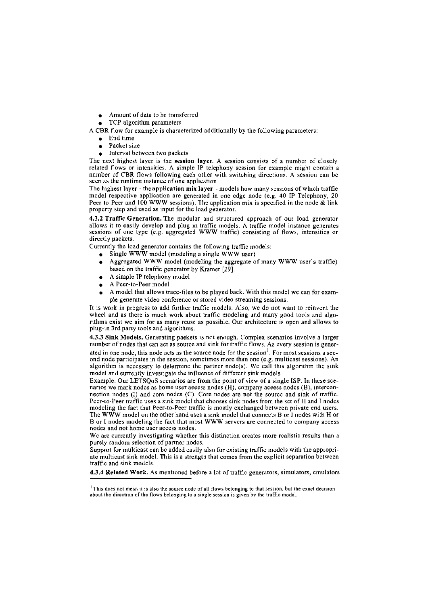- Amount of data tobe transferred
- **TCP** algorithm parameters • TCP algo:<br>BR flow for <math>\infty</math><br>End time

A CER flow for example is charaeterized additionally by the following parameters:

- 
- Packet size
- lnterval between two paekets

The next highest layer is the session layer. A session consists of a number of elosely related flows or intensities. A simple IP telephony session for example might contain a number of CER flows following each other with switching direetions. A session can be seen as the runtime instance of one application.

The highest layer - theapplication mix layer - models how many sessions of which traffie model respective application are generated in one edge node (e.g. 40 IP Telephony, 20 Peer-to-Peer and 100 WWW sessions). The applieation mix is specified in the node & link property step and used as input for the load generator.

**4.3.2** Trafiic Generation. The modular and slructured approach of our load generator allows it to easily develop and plug in traffie models. **A** traffie model instance generates sessions of one type (e.g. aggregated WWW traffic) consisfing of flows, intensities or directly packets.

Currently the load generator contains the following traffic models:

- Single WWW model (modeling a single WWW user)
- Aggregated WWW model (modeling the aggregate of many WWW user's traffie) based on the traffic generator by Kramer [29].
- $\bullet$  A simple IP telephony model
- A Peer-to-Peer model
- A model that allows traee-files tobe played back. With this model we ean for example generate video conference or stored video streaming sessions.

It is work in progress to add further traffic models. Also, we do not want to reinvent the wheel and as there is much work about traffic modeling and many good tools and algorithms exist we aim for as many reuse as possible. Our architecture is open and allows to plug-in 3rd party tools and algorithms.

4.3.3 Sink Models. Generating paekets is not enough. Complex scenarios involve a larger number of nodes that can act as source and sink for traffic flows. As every session is gener-

ated in one node, this node acts as the source node for the session<sup>1</sup>. For most sessions a second node participates in the session, sometimes more than one (e.g. multicast sessions). An algorithm is necessary to determine the partner nodc(s). We call this algorithm the sink model and eurrently investigate the influence of differcnt sink models. -

Example: Our LETSQoS sccnarios are from the point of view of a single ISP. In these scenarios we mark nodcs as home User aeeess nodes (H), company aceess nodcs (B), interconnection nodes (I) and core nodcs (C). Core nodes are not the sourcc and sink af traffic. Peer-to-Peer traffic uses a sink model that ehooses sink nodes from rhe sct of H and I nodes modeling the fact that Peer-to-Peer traffic is mostly exchanged between private end users. The WWW model on the other hand uses a sink model that connects B or I nodes with H or B or I nodes modeling the fact that most WWW servers are connected to company access nodes and not home uscr aeeess nodes.

We are currently investigating whether this distinction creates more realistic results than a purely random selection of partner nodcs.

Support for multieast can be added easily also for existing traffic models with the appropri-<br>ate multicast sink model. This is a strength that comes from the explicit separation bctwcen traffic and sink modcls.

**4.3.4** Related Work. As mentioned before a lot of traffic generators, simulators, cmulators

I This **docs not mcan ii** ir also die **source node of all flows** bclonging **to that session.** but **the exact decision about** Ihc **direction of** the **flows belonging** 10 **a ringle** session **ir given** by **thc traffic model.**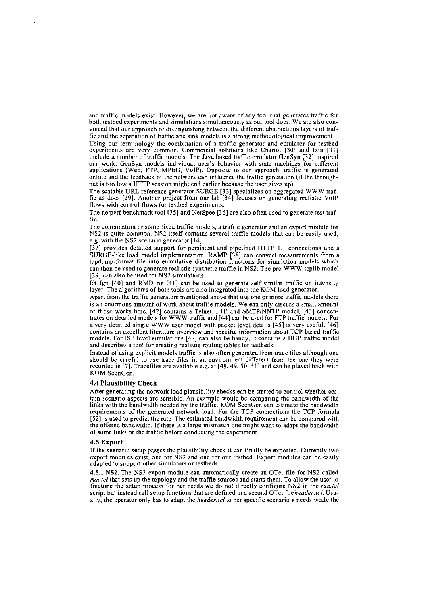and traffic models exist. However, we are not aware of any tool that generates traffie for both testbed exoeriments and simulations simultaneouslv as our tool does. We are also convinced that our approach of distinguishing between the different abstractions layers of traffic and the separation of traffic and sink models is a strong methodological improvement.

Using our tetminology the eombination of a traffic generator and emulator for testbed experiments are very eommon. Commercial solutions like Chariot [30] and Ixia [31] inelude a number of traffic models. The Java based iraffic emulator GenSyn [32] inspired our work. GenSyn models individual user's behavior with state machines for different applications (Web, FTP, MPEG. VolP). Opposiie to our approaeh, traffie is generated online and the feedbaek of the network can influence the traffic generation (if the through put is too low a HTTP session might end earlier because the user gives up).

The scalable URL reference generator SURGE [33] specializes on aggregated WWW traffie as does [29]. Another project from our lab [34] focuses on generating realistic VoIP flows with control flows for testbed experiments.

The netperf benchmark tool [35] and NetSpee [36] are also often used to generate test traffic.

The combination of some fixed traffic models, a traffic generator and an export module for NS2 is quite comrnon. NS? itself contains several traffie models that can be easily used, e.g. with the NS2 seenario generator [14].

[37] provides detailed support for persistent and pipelined HTTP 1.1 conncctions and a SURGE-likc load model implementation. RAMP [38] can convert measurements from a tcpdump-format file into eumulative distriburion functions for simulation models which can then be used to generate realistie synthetic traffie in NS2. The pre-WWW tcplib model [39] can also be used for NS2 simulations.

fft-fgn [40] and RMD-nn [41] can be used to generate self-similar traffic on intensity layer. The algorithms of bolh tools are also integrated into the KOM load generator.

Apart from the traffic generators mentioned above that use one or more traffic models there is an enormous amount of work about traffie models. We ean only diseuss a small amount of those works here. [42] eontains a Telnet, FTP and SMTPNNTP model, [43] eoneen- trates on detailed models for WWW traffjc and [44] can be used for FTP traffie models. For a very detailed single WWW User model with packet level details [45] is very useful. [46] contains an exeellent literature overview and specific information about TCP based traffic models. For ISP level simulations [47] ean also be handy, it conrains a BGP traffic model and describes a tool for ereating realistie rouling tables for testbeds.

Instead of using explieit models traffic is also often generated from trace files although one should be careful to use trace files in an environment different from the one they were recorded in [7]. Tracefiles are available e.g. at [48, 49, 50, 51] and can be played back with KOM SeenGen.

#### 4.4 Plausihility Check

After generating the network load plausibility ehecks ean be started to control whether certain scenario aspects are sensible. An example would be comparing the bandwidth of the links with the bandwidth needed by the traffic. KOM ScenGen can estimate the bandwidth requirements of the generated network load. For the TCP connections the TCP formula [52] is used to predict the rate. The estimated bandwidth requirement can be compared with the offered bandwidth. If there is a large mismatch one might want to adapt the bandwidth of some links or the traffic before conducting the experiment.

#### **4.5 Export**

If the seenario setup passes the plausibility eheck it can finally be exported. Currently two export modules exist, one for NS2 and one for our testbed. Export modules can be easily adapted to support other simulators or testbeds.

4.5.1 **NSZ.** The NS2 export module can automatically create an OTel file for NS2 called  $run.tcl$  that sets up the topology and the traffie sources and starts them. To allow the user to finetune the setup process for her needs we do not directly eonfigure NS2 in the run.tcl script but instead call setup funetions that are defined in a second OTcl fileheader.tcl. Usually, the operator only has to adapt the *header tol* to her specific scenario's needs while the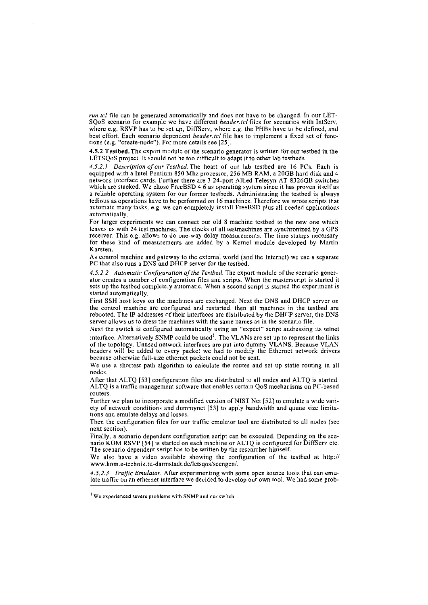run<sub>ticl</sub> file can be generated automatically and does not have to be changed. In our LET-SQoS scenario for example we have different **hender.fc1** files for scenarios with IntServ, where e.g. RSVP has to be set up, DiffServ, where e.g. the PHBs have to be defined, and best effort. Each seenario dependent *header.tcl* file has to implement a fixed set of functions (e.g. "create-node"). For more details see [25].

4.5.2 Testbed. The export module of the scenario generator is written for our testbed in the LETSQoS project. It should not be too difficult to adapt it to other lab testbeds.

**4.5.2.1 Descriplion ofour Tesrbed.** The heart of our lab testbed are 16 PCs. Each is equipped with a Intel Pentium 850 Mhz processor, 256 MB RAM, a 20GB hard disk and 4 network interface cards. Further there are **3** 24-port Allied Telesyn AT-8326GB switches which are staeked. We chose FreeBSD 4.6 as operating system since it has proven itself as a reliable operating system for our former testbeds. Administrating the testbed is always tedious as operations have to be performed on 16 machines. Therefore we wrote scripts thal automate many tasks, e.g. we can eompletely install FreeBSD plus all needed applications automatieally.

For larger experiments we ean eonnect our old 8 machine testbed to the new one which leaves us with 24 test machines. The clocks of all testmachines are synchronized by a GPS receiver. This e.g. allows to do one-way delay measurements. The time stamps necessary for these kind of measuremenrs are added by a Kerne1 module developed by Martin Karsten.

As control maehine and galeway to the external world (and the Internet) we use a separate PC that also runs a DNS and DHCP server for the testbed.

4.5.2.2 *Automatic Configuration of the Testbed*. The export module of the scenario generator creates a number of eonfiguration files and seripts. When the masterscript is started it sets up the testbed completely automatic. When a seeond script is started the experiment is started automatieally.

First SSH host keys on the machines are exchanged. Next the DNS and DHCP server on the control machine are configured and restarted, then all machines in the testbed are rebooted. The IP addresses of their interfaees are distributed by the DHCP server, the DNS server allows us to dress the maehines with the same names as in the scenario file.

Next the switch is configured automatically using an "expeci" script addressing its telnet interfaee. Alternatively SNMP could be used<sup>1</sup>. The VLANs are set up to represent the links of the topology. Unused network interfaces are put into dummy VLANS. Because VLAN headers will be added to every packet we had to modify the Ethemet network drivers because otherwise full-size ethemet paekets eould not be sent.

We use a shortest path algorithm to ealeulate the routes and set up statie routing in all nodes.

After that ALTQ [53] eonfiguration files are distributed to all nodes and ALTQ is started. ALTQ is a traffic management software that enables certain QoS meehanisms on PC-based routers

Further we plan to ineorporatc a modified version of NlST Net [52] to emulate a wide variety of network conditions and dummynet [53] to apply bandwidth and queue size Iimitations and emulate delays and losses.

Then the configuration files for our rraffic emulator tool are distributed to all nodes (see next section).

Finally, a scenario dependent configuration seript can be executed. Depending on the scenario KOM RSVP [54] is started on each machine or ALTQ is configured for DiffServ etc. The scenario dependent seript has to be written by the researcher himself.

We also have a video available showing the eonfiguration of the testbed at http:// **www.kom.e-technik.tu-darmstadt.de/letsqos/scengen/.** 

**4.5.2.3 TraJir Emularor.** After experimenting with some Open souree 1001s that can emu- late traffic on an ethernet interface we decided to develop our own tool. We had some prob-

<sup>&#</sup>x27; **We expcrieneed severe problerna with SNMP and our switch**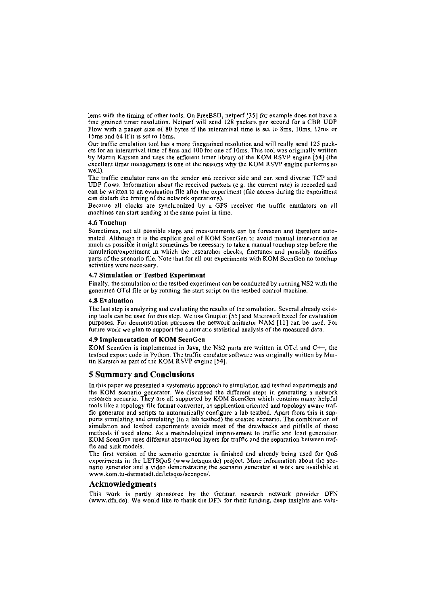lems with the timing of other tools. On FreeBSD, netperf [35] for example does not have a fine grained timer resolution. Netperf will send 128 packets per second for a CBR UDP Flow with a paeket size of 80 bytes if the interarrival time is set to 8ms, 10ms, 12ms or 15ms and 64 if it is set to 16ms.

Our traffic emulation tool has a more finegrained resolution and will really send 125 packets for an interarrival time of 8ms and 100 for one of 10ms. This tool was originally written by Martin Karsten and uses the efficient timer library of the KOM RSVP engine [54] (the exeellent timer management is one of the reasons why the KOM RSVP engine performs so well)

The traffic emulator runs on the sender and receiver side and can send diverse TCP and UDP flows. Information about the received paekets (e.g. the eurrent rate) is recorded and ean be written to an evaluation file after the experiment (file aecess during the experiment can disturb the timing of the network operations).

Because all clocks are synchronized by a GPS receiver the traffic emulators on all machines can start sending at the same point in time.

## 4.6 Touchup

Sometimes, not all possible steps and measurements ean be foreseen and therefore automated. Although it is the explicit goal of KOM ScenGen to avoid manual intervention as much as possible it might sometimes be neeessary to take a manual touchup step before the simulation/experiment in which the researcher checks, finetunes and possibly modifics parts of the scenario file. Note that for all our experiments with KOM ScenGen no touchup activities were necessary.

## 4.7 Simulation or Testbed Experiment

Finally, the simulation or the testbed experiment can be condueted by running NS2 with the generated OTcl file or by running the start script on the testbed control machine.

#### 4.8 Evaluation

The last step is analyzing and evaluating the results of the simulation. Several already existing tools can be used for this step. We use Gnuplot [55] and Microsoft Exeel for evaluation purposes. For demonstration purposes the network animator NAM [11] can be used. For future work we plan to support the automatic statistical analysis of the measured data.

## 4.9 Implementation of KOM SeenGen

KOM ScenGen is implemented in Java, the NS2 parts are written in OTcl and C++, the testbed export code in Python. The traffic emulator software was originally written by Martin Karsten as part of the KOM RSVP engine [54].

# **5 Summary and Conclusions**

In this paper we presented a systematic approach to simulation and testbed experiments and the KOM scenario generator. We discussed the different steps in generating a network<br>research scenario. They are all supported by KOM ScenGen which contains many helpful tools like a topology file format converter, an application oriented and topology aware traffic generator and seripts to automatically configure a lab testbed. Apart from this it supports simulating and emulating (in a lab testbed) the created scenario. The combination of simulation and testbed experiments avoids most of the drawbacks and pitfalls of those methods if used alone. As a methodological improvement to traffic and load generation KOM ScenGen uses different abstraction layers for traffic and the separation between traffie and sink models.

The first version of the scenario generator is finished and already being used for QoS experiments in the LETSQoS (www.letsqos.de) project. More information about the sccnario generator and a video demonstrating the scenario generator at work are available at www.kom.tu-darmstadt.de/letsqos/scengen/.

# Acknowledgments

This work is partly sponsored by the German research network provider DFN (www.dfn.de). We would like to thank the DFN for their funding, deep insights and valu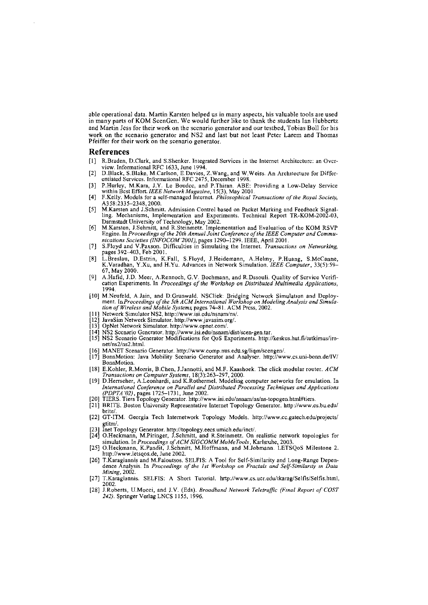able operational data. Martin Karsten helped us in many aspects, his valuable tools are used in many parts of KOM ScenGen. We would further like to thank the students Ian Hubbertz and Martin Jess for their work on the scenario generator and our testbed, Tobias Boll for his work on the scenario generator and NS2 and last but not least Peter Larem and Thomas Pfeiffer for their work on the scenario generator.

#### References

- [1] R.Braden, D.Clark, and S.Shenker. Integrated Services in the Internet Architecturc: an Over-
- view. Informational RFC 1633, June 1994.<br>
[2] D.Black, S.Blake, M.Carlson, E.Davies, Z.Wang, and W.Weiss. An Architecture for Differentiated Services. Informational RFC 2475, December 1998.
- P.Hurley, M.Kara, J.Y. Le Boudce, and P.Thiran. ABE: Providing a Low-Delay Service<br>within Best Effort. IEEE Network Magazine, 15(3), May 2001.  $\lceil 3 \rceil$
- [4] F.Kelly. Models for a self-managed Internet. *Philosophical Transactions of the Royal Society*, A358:2335–2348, 2000.
- $51$ M.Karsten and J.Schmitt. Admission Control based on Packet Marking and Feedback Signalling. Mechanisms, Implementation and Experiments. Technical Report TR-KOM-2002-03, Darmstadt University of Technology, May 2002.
- [6] M.Karsten, J.Sehmitt, and R.Steinmetz. Implementation and Evaluation of the KOM RSVP Engine. In Proceedings of the 20th Annual Joint Conference of the IEEE Computer and Communications Societies (INFOCOM'2001), pages 1290-1299. IEEE, April 2001
- S.Floyd and V.Paxson. Difficulties in Simulating the Internet. Transactions on Networking,  $171$ pages 392-403, Feb 2001.
- L. Breslau, D. Estrin, K. Fall, S. Floyd, J. Heidemann, A. Helmy, P. Huang, S. McCanne, K. Varadhan, Y. Xu, and H. Yu. Advances in Network Simulation. IEEE Computer, 33(5):59-[8] 67, May 2000.
- [9] A.Hafid, J.D. Meer, A.Rennoch, G.V. Bochmann, and R.Dssouli. Quality of Scrvice Vcrification Experiments. In Proceedings of the Workshop on Distributed Multimedia Applications, 1994
- [10] M.Neufeld, A.Jain, and D.Grunwald. NSCliek: Bridging Network Simulation and Deployment. In Proceedings of the 5th ACM International Workshop on Modeling Analysis and Simulation of Wireless and Mobile Systems pages 74–
- Network Simulator NS2 http://www.isi.edu/nsnam/ns/.
- [12] JavaSim Network Simulator. *ntp://www.opnet.com/*<br>[13] OpNet Network Simulator. http://www.opnet.com/ JavaSim Network Simulator. http://www.javasim.org/.
- 
- 
- [14] NS2 Scenario Generator. http://www.isi.edu/nsnam/dist/scen-gen.tar.<br>[15] NS2 Scenario Generator Modifications for QoS Experiments. http://keskus.hut.fi/tutkimus/ironet/ns2/ns2.html.
- [16] MANET Scenario Generator. http://www.comp.nus.edu.sg/liqm/scengen/.
- BonnMotion: Java Mobility Scenario Generator and Analyser. http://www.cs.uni-bonn.de/IV/  $[17]$ BonnMotion.
- [18] E.Kohler, R.Morris, B.Chen, J.Jannotti, and M.F. Kaashoek. The click modular router. ACM Transactions on Computer Systems, 18(3):263-297, 2000.
- [19] D.Herrscher, A.Leonhardi, and K.Rothermel. Modeling computer networks for emulation. In International Conference on Parallel and Distributed Processing Techniques and Applications (PDPTA 02), pages 1725–1731, June 2002.<br>[20] TIERS. Tiers Topology Generator. http://www.isi.edu/nsnam/ns/ns-topogen.html#tiers.
- 
- [21] BRITE. Boston University Representative Internet Topology Generator. http://www.cs.bu.edu/ brite/
- [22] GT-ITM. Georgia Tech Internetwork Topology Models. http://www.cc.gatech.edu/projects/ etitm/.
- 
- [23] Inet Topology Generator. http://topology.eecs.umich.edu/inct/.<br>[24] O.Heckmann, M.Piringer, J.Schmitt, and R.Steinmetz. On realistic network topologies for simulation. In Proceedings of ACM SIGCOMM MoMeTools, Karlsruhe, 2003.<br>[25] O.Heckmann, K.Pandit, J.Schmitt, M.Hoffmann, and M.Jobmann. LETSQoS Milestone 2.
- http://www.letsqos.de, June 2002.
- [26] T.Karagiannis and M.Faloutsos. SELFIS: A Tool for Self-Similarity and Long-Range Dependence Analysis. In Proceedings of the 1st Workshop on Fractals and Self-Similarity in Data Mining, 2002.
- [27] T.Karagiannis. SELFIS: A Short Tutorial. http://www.cs.ucr.edu/tkarag/Selfis/Selfis.html, 2002.
- [28] J.Roberts, U.Mocci, and J.V. (Eds). Broadband Network Teletraffic (Final Report of COST 242). Springer Verlag LNCS 1155, 1996.